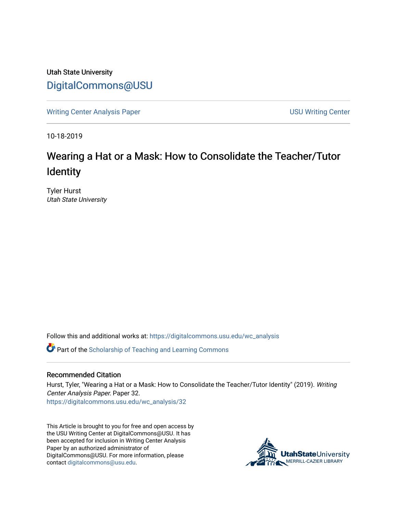Utah State University [DigitalCommons@USU](https://digitalcommons.usu.edu/)

[Writing Center Analysis Paper](https://digitalcommons.usu.edu/wc_analysis) [USU Writing Center](https://digitalcommons.usu.edu/wc) 

10-18-2019

# Wearing a Hat or a Mask: How to Consolidate the Teacher/Tutor Identity

Tyler Hurst Utah State University

Follow this and additional works at: [https://digitalcommons.usu.edu/wc\\_analysis](https://digitalcommons.usu.edu/wc_analysis?utm_source=digitalcommons.usu.edu%2Fwc_analysis%2F32&utm_medium=PDF&utm_campaign=PDFCoverPages) 

Part of the [Scholarship of Teaching and Learning Commons](http://network.bepress.com/hgg/discipline/1328?utm_source=digitalcommons.usu.edu%2Fwc_analysis%2F32&utm_medium=PDF&utm_campaign=PDFCoverPages) 

#### Recommended Citation

Hurst, Tyler, "Wearing a Hat or a Mask: How to Consolidate the Teacher/Tutor Identity" (2019). Writing Center Analysis Paper. Paper 32. [https://digitalcommons.usu.edu/wc\\_analysis/32](https://digitalcommons.usu.edu/wc_analysis/32?utm_source=digitalcommons.usu.edu%2Fwc_analysis%2F32&utm_medium=PDF&utm_campaign=PDFCoverPages)

This Article is brought to you for free and open access by the USU Writing Center at DigitalCommons@USU. It has been accepted for inclusion in Writing Center Analysis Paper by an authorized administrator of DigitalCommons@USU. For more information, please contact [digitalcommons@usu.edu](mailto:digitalcommons@usu.edu).

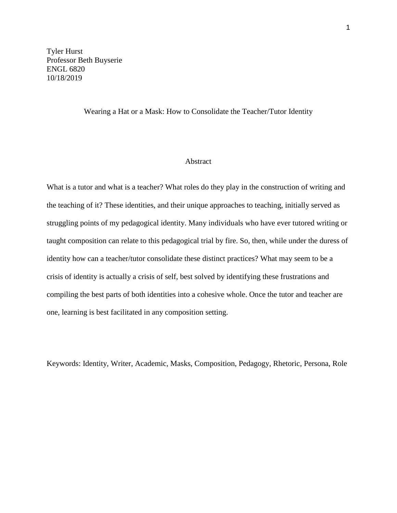Tyler Hurst Professor Beth Buyserie ENGL 6820 10/18/2019

#### Wearing a Hat or a Mask: How to Consolidate the Teacher/Tutor Identity

### Abstract

What is a tutor and what is a teacher? What roles do they play in the construction of writing and the teaching of it? These identities, and their unique approaches to teaching, initially served as struggling points of my pedagogical identity. Many individuals who have ever tutored writing or taught composition can relate to this pedagogical trial by fire. So, then, while under the duress of identity how can a teacher/tutor consolidate these distinct practices? What may seem to be a crisis of identity is actually a crisis of self, best solved by identifying these frustrations and compiling the best parts of both identities into a cohesive whole. Once the tutor and teacher are one, learning is best facilitated in any composition setting.

Keywords: Identity, Writer, Academic, Masks, Composition, Pedagogy, Rhetoric, Persona, Role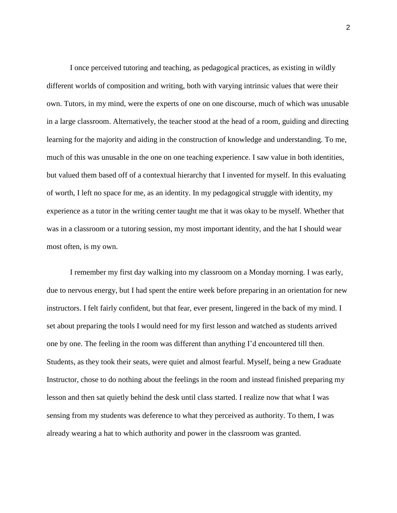I once perceived tutoring and teaching, as pedagogical practices, as existing in wildly different worlds of composition and writing, both with varying intrinsic values that were their own. Tutors, in my mind, were the experts of one on one discourse, much of which was unusable in a large classroom. Alternatively, the teacher stood at the head of a room, guiding and directing learning for the majority and aiding in the construction of knowledge and understanding. To me, much of this was unusable in the one on one teaching experience. I saw value in both identities, but valued them based off of a contextual hierarchy that I invented for myself. In this evaluating of worth, I left no space for me, as an identity. In my pedagogical struggle with identity, my experience as a tutor in the writing center taught me that it was okay to be myself. Whether that was in a classroom or a tutoring session, my most important identity, and the hat I should wear most often, is my own.

I remember my first day walking into my classroom on a Monday morning. I was early, due to nervous energy, but I had spent the entire week before preparing in an orientation for new instructors. I felt fairly confident, but that fear, ever present, lingered in the back of my mind. I set about preparing the tools I would need for my first lesson and watched as students arrived one by one. The feeling in the room was different than anything I'd encountered till then. Students, as they took their seats, were quiet and almost fearful. Myself, being a new Graduate Instructor, chose to do nothing about the feelings in the room and instead finished preparing my lesson and then sat quietly behind the desk until class started. I realize now that what I was sensing from my students was deference to what they perceived as authority. To them, I was already wearing a hat to which authority and power in the classroom was granted.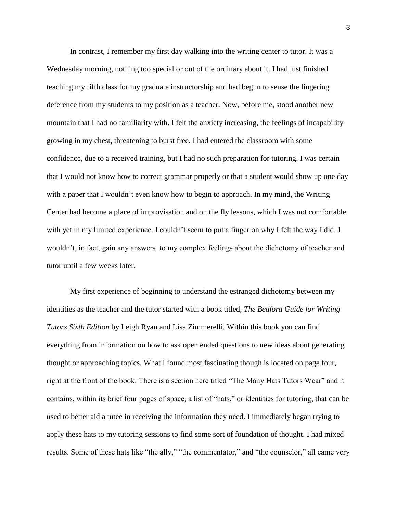In contrast, I remember my first day walking into the writing center to tutor. It was a Wednesday morning, nothing too special or out of the ordinary about it. I had just finished teaching my fifth class for my graduate instructorship and had begun to sense the lingering deference from my students to my position as a teacher. Now, before me, stood another new mountain that I had no familiarity with. I felt the anxiety increasing, the feelings of incapability growing in my chest, threatening to burst free. I had entered the classroom with some confidence, due to a received training, but I had no such preparation for tutoring. I was certain that I would not know how to correct grammar properly or that a student would show up one day with a paper that I wouldn't even know how to begin to approach. In my mind, the Writing Center had become a place of improvisation and on the fly lessons, which I was not comfortable with yet in my limited experience. I couldn't seem to put a finger on why I felt the way I did. I wouldn't, in fact, gain any answers to my complex feelings about the dichotomy of teacher and tutor until a few weeks later.

My first experience of beginning to understand the estranged dichotomy between my identities as the teacher and the tutor started with a book titled, *The Bedford Guide for Writing Tutors Sixth Edition* by Leigh Ryan and Lisa Zimmerelli. Within this book you can find everything from information on how to ask open ended questions to new ideas about generating thought or approaching topics. What I found most fascinating though is located on page four, right at the front of the book. There is a section here titled "The Many Hats Tutors Wear" and it contains, within its brief four pages of space, a list of "hats," or identities for tutoring, that can be used to better aid a tutee in receiving the information they need. I immediately began trying to apply these hats to my tutoring sessions to find some sort of foundation of thought. I had mixed results. Some of these hats like "the ally," "the commentator," and "the counselor," all came very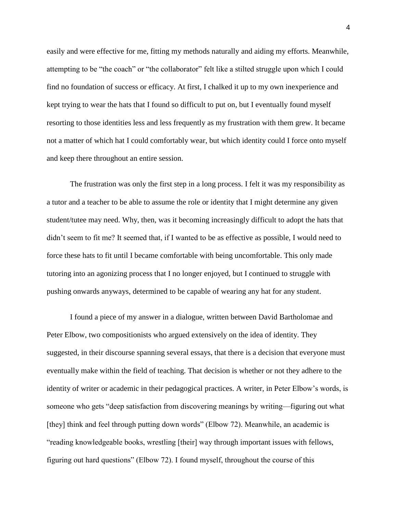easily and were effective for me, fitting my methods naturally and aiding my efforts. Meanwhile, attempting to be "the coach" or "the collaborator" felt like a stilted struggle upon which I could find no foundation of success or efficacy. At first, I chalked it up to my own inexperience and kept trying to wear the hats that I found so difficult to put on, but I eventually found myself resorting to those identities less and less frequently as my frustration with them grew. It became not a matter of which hat I could comfortably wear, but which identity could I force onto myself and keep there throughout an entire session.

 The frustration was only the first step in a long process. I felt it was my responsibility as a tutor and a teacher to be able to assume the role or identity that I might determine any given student/tutee may need. Why, then, was it becoming increasingly difficult to adopt the hats that didn't seem to fit me? It seemed that, if I wanted to be as effective as possible, I would need to force these hats to fit until I became comfortable with being uncomfortable. This only made tutoring into an agonizing process that I no longer enjoyed, but I continued to struggle with pushing onwards anyways, determined to be capable of wearing any hat for any student.

 I found a piece of my answer in a dialogue, written between David Bartholomae and Peter Elbow, two compositionists who argued extensively on the idea of identity. They suggested, in their discourse spanning several essays, that there is a decision that everyone must eventually make within the field of teaching. That decision is whether or not they adhere to the identity of writer or academic in their pedagogical practices. A writer, in Peter Elbow's words, is someone who gets "deep satisfaction from discovering meanings by writing—figuring out what [they] think and feel through putting down words" (Elbow 72). Meanwhile, an academic is "reading knowledgeable books, wrestling [their] way through important issues with fellows, figuring out hard questions" (Elbow 72). I found myself, throughout the course of this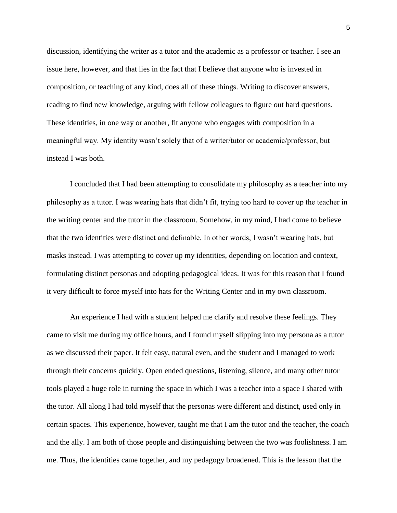discussion, identifying the writer as a tutor and the academic as a professor or teacher. I see an issue here, however, and that lies in the fact that I believe that anyone who is invested in composition, or teaching of any kind, does all of these things. Writing to discover answers, reading to find new knowledge, arguing with fellow colleagues to figure out hard questions. These identities, in one way or another, fit anyone who engages with composition in a meaningful way. My identity wasn't solely that of a writer/tutor or academic/professor, but instead I was both.

 I concluded that I had been attempting to consolidate my philosophy as a teacher into my philosophy as a tutor. I was wearing hats that didn't fit, trying too hard to cover up the teacher in the writing center and the tutor in the classroom. Somehow, in my mind, I had come to believe that the two identities were distinct and definable. In other words, I wasn't wearing hats, but masks instead. I was attempting to cover up my identities, depending on location and context, formulating distinct personas and adopting pedagogical ideas. It was for this reason that I found it very difficult to force myself into hats for the Writing Center and in my own classroom.

 An experience I had with a student helped me clarify and resolve these feelings. They came to visit me during my office hours, and I found myself slipping into my persona as a tutor as we discussed their paper. It felt easy, natural even, and the student and I managed to work through their concerns quickly. Open ended questions, listening, silence, and many other tutor tools played a huge role in turning the space in which I was a teacher into a space I shared with the tutor. All along I had told myself that the personas were different and distinct, used only in certain spaces. This experience, however, taught me that I am the tutor and the teacher, the coach and the ally. I am both of those people and distinguishing between the two was foolishness. I am me. Thus, the identities came together, and my pedagogy broadened. This is the lesson that the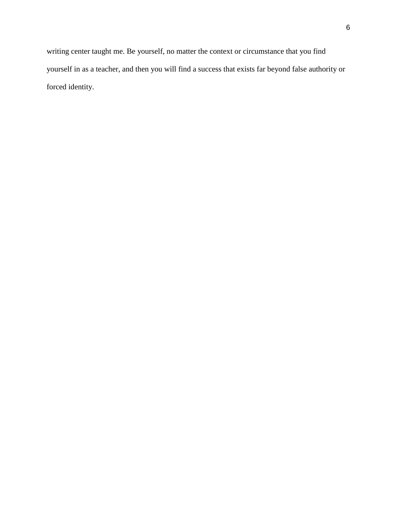writing center taught me. Be yourself, no matter the context or circumstance that you find yourself in as a teacher, and then you will find a success that exists far beyond false authority or forced identity.